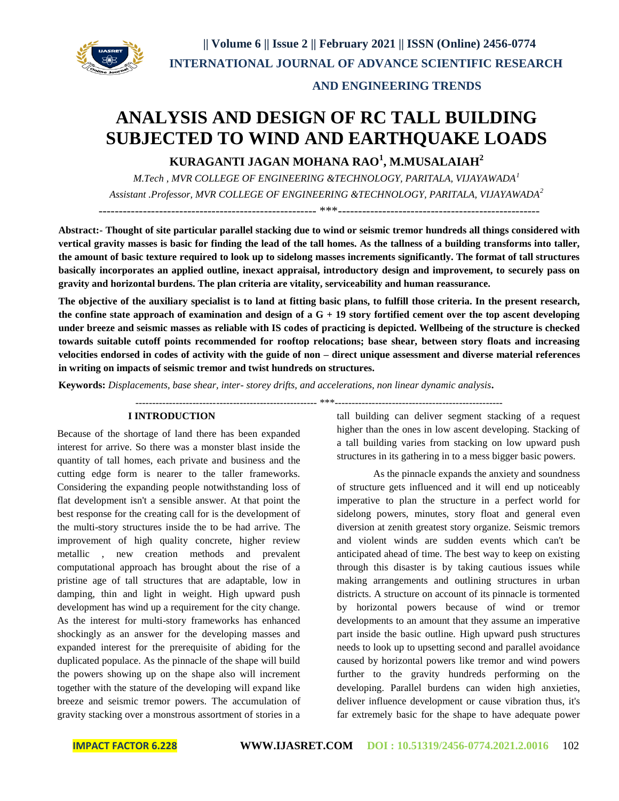

## **AND ENGINEERING TRENDS**

# **ANALYSIS AND DESIGN OF RC TALL BUILDING SUBJECTED TO WIND AND EARTHQUAKE LOADS**

**KURAGANTI JAGAN MOHANA RAO<sup>1</sup> , M.MUSALAIAH<sup>2</sup>**

*M.Tech , MVR COLLEGE OF ENGINEERING &TECHNOLOGY, PARITALA, VIJAYAWADA<sup>1</sup> Assistant .Professor, MVR COLLEGE OF ENGINEERING &TECHNOLOGY, PARITALA, VIJAYAWADA<sup>2</sup>*

------------------------------------------------------ \*\*\*--------------------------------------------------

**Abstract:- Thought of site particular parallel stacking due to wind or seismic tremor hundreds all things considered with vertical gravity masses is basic for finding the lead of the tall homes. As the tallness of a building transforms into taller, the amount of basic texture required to look up to sidelong masses increments significantly. The format of tall structures basically incorporates an applied outline, inexact appraisal, introductory design and improvement, to securely pass on gravity and horizontal burdens. The plan criteria are vitality, serviceability and human reassurance.** 

**The objective of the auxiliary specialist is to land at fitting basic plans, to fulfill those criteria. In the present research, the confine state approach of examination and design of a G + 19 story fortified cement over the top ascent developing under breeze and seismic masses as reliable with IS codes of practicing is depicted. Wellbeing of the structure is checked towards suitable cutoff points recommended for rooftop relocations; base shear, between story floats and increasing velocities endorsed in codes of activity with the guide of non – direct unique assessment and diverse material references in writing on impacts of seismic tremor and twist hundreds on structures.**

**Keywords:** *Displacements, base shear, inter- storey drifts, and accelerations, non linear dynamic analysis***.**

------------------------------------------------------ \*\*\*--------------------------------------------------

## **I INTRODUCTION**

Because of the shortage of land there has been expanded interest for arrive. So there was a monster blast inside the quantity of tall homes, each private and business and the cutting edge form is nearer to the taller frameworks. Considering the expanding people notwithstanding loss of flat development isn't a sensible answer. At that point the best response for the creating call for is the development of the multi-story structures inside the to be had arrive. The improvement of high quality concrete, higher review metallic , new creation methods and prevalent computational approach has brought about the rise of a pristine age of tall structures that are adaptable, low in damping, thin and light in weight. High upward push development has wind up a requirement for the city change. As the interest for multi-story frameworks has enhanced shockingly as an answer for the developing masses and expanded interest for the prerequisite of abiding for the duplicated populace. As the pinnacle of the shape will build the powers showing up on the shape also will increment together with the stature of the developing will expand like breeze and seismic tremor powers. The accumulation of gravity stacking over a monstrous assortment of stories in a

tall building can deliver segment stacking of a request higher than the ones in low ascent developing. Stacking of a tall building varies from stacking on low upward push structures in its gathering in to a mess bigger basic powers.

As the pinnacle expands the anxiety and soundness of structure gets influenced and it will end up noticeably imperative to plan the structure in a perfect world for sidelong powers, minutes, story float and general even diversion at zenith greatest story organize. Seismic tremors and violent winds are sudden events which can't be anticipated ahead of time. The best way to keep on existing through this disaster is by taking cautious issues while making arrangements and outlining structures in urban districts. A structure on account of its pinnacle is tormented by horizontal powers because of wind or tremor developments to an amount that they assume an imperative part inside the basic outline. High upward push structures needs to look up to upsetting second and parallel avoidance caused by horizontal powers like tremor and wind powers further to the gravity hundreds performing on the developing. Parallel burdens can widen high anxieties, deliver influence development or cause vibration thus, it's far extremely basic for the shape to have adequate power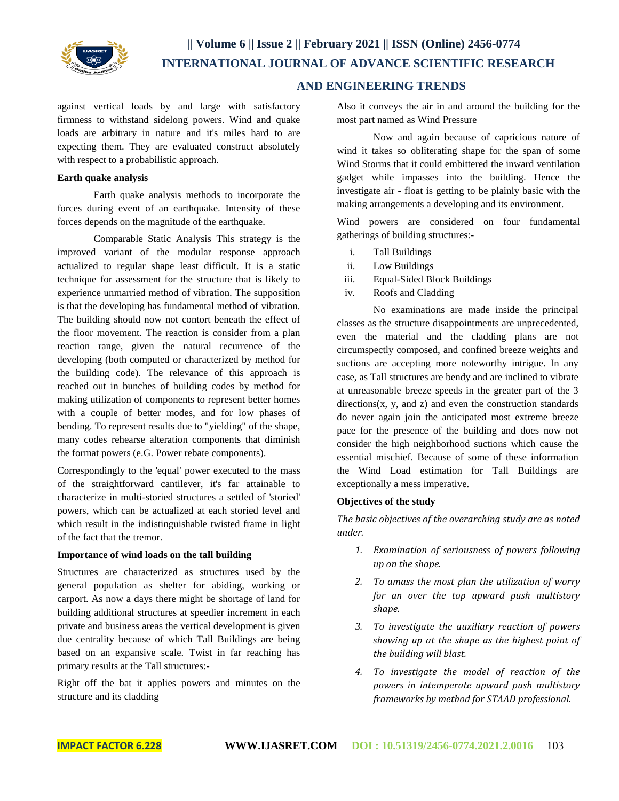

## **AND ENGINEERING TRENDS**

against vertical loads by and large with satisfactory firmness to withstand sidelong powers. Wind and quake loads are arbitrary in nature and it's miles hard to are expecting them. They are evaluated construct absolutely with respect to a probabilistic approach.

## **Earth quake analysis**

Earth quake analysis methods to incorporate the forces during event of an earthquake. Intensity of these forces depends on the magnitude of the earthquake.

Comparable Static Analysis This strategy is the improved variant of the modular response approach actualized to regular shape least difficult. It is a static technique for assessment for the structure that is likely to experience unmarried method of vibration. The supposition is that the developing has fundamental method of vibration. The building should now not contort beneath the effect of the floor movement. The reaction is consider from a plan reaction range, given the natural recurrence of the developing (both computed or characterized by method for the building code). The relevance of this approach is reached out in bunches of building codes by method for making utilization of components to represent better homes with a couple of better modes, and for low phases of bending. To represent results due to "yielding" of the shape, many codes rehearse alteration components that diminish the format powers (e.G. Power rebate components).

Correspondingly to the 'equal' power executed to the mass of the straightforward cantilever, it's far attainable to characterize in multi-storied structures a settled of 'storied' powers, which can be actualized at each storied level and which result in the indistinguishable twisted frame in light of the fact that the tremor.

## **Importance of wind loads on the tall building**

Structures are characterized as structures used by the general population as shelter for abiding, working or carport. As now a days there might be shortage of land for building additional structures at speedier increment in each private and business areas the vertical development is given due centrality because of which Tall Buildings are being based on an expansive scale. Twist in far reaching has primary results at the Tall structures:-

Right off the bat it applies powers and minutes on the structure and its cladding

Also it conveys the air in and around the building for the most part named as Wind Pressure

Now and again because of capricious nature of wind it takes so obliterating shape for the span of some Wind Storms that it could embittered the inward ventilation gadget while impasses into the building. Hence the investigate air - float is getting to be plainly basic with the making arrangements a developing and its environment.

Wind powers are considered on four fundamental gatherings of building structures:-

- i. Tall Buildings
- ii. Low Buildings
- iii. Equal-Sided Block Buildings
- iv. Roofs and Cladding

No examinations are made inside the principal classes as the structure disappointments are unprecedented, even the material and the cladding plans are not circumspectly composed, and confined breeze weights and suctions are accepting more noteworthy intrigue. In any case, as Tall structures are bendy and are inclined to vibrate at unreasonable breeze speeds in the greater part of the 3  $directions(x, y, and z)$  and even the construction standards do never again join the anticipated most extreme breeze pace for the presence of the building and does now not consider the high neighborhood suctions which cause the essential mischief. Because of some of these information the Wind Load estimation for Tall Buildings are exceptionally a mess imperative.

## **Objectives of the study**

*The basic objectives of the overarching study are as noted under.* 

- *1. Examination of seriousness of powers following up on the shape.*
- *2. To amass the most plan the utilization of worry for an over the top upward push multistory shape.*
- *3. To investigate the auxiliary reaction of powers showing up at the shape as the highest point of the building will blast.*
- *4. To investigate the model of reaction of the powers in intemperate upward push multistory frameworks by method for STAAD professional.*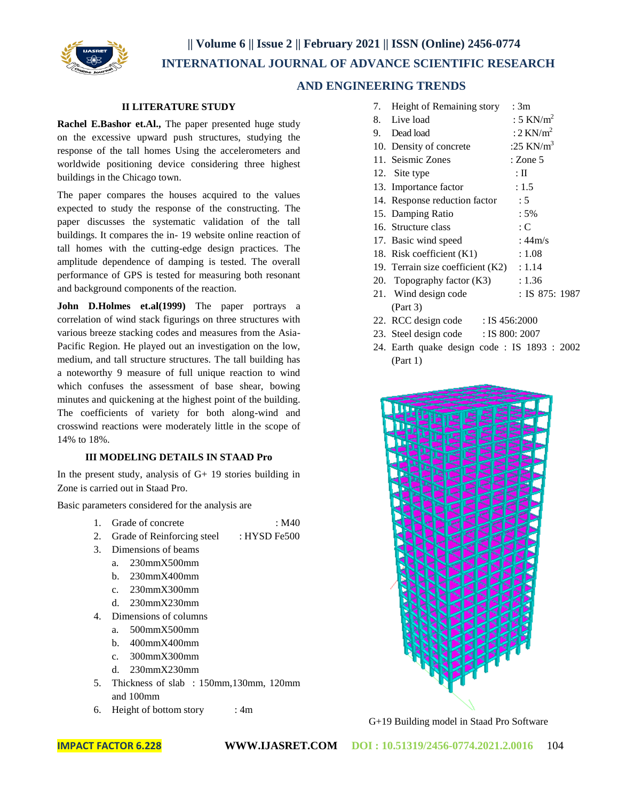**|| Volume 6 || Issue 2 || February 2021 || ISSN (Online) 2456-0774 INTERNATIONAL JOURNAL OF ADVANCE SCIENTIFIC RESEARCH** 



## **AND ENGINEERING TRENDS**

## **II LITERATURE STUDY**

**Rachel E.Bashor et.Al.,** The paper presented huge study on the excessive upward push structures, studying the response of the tall homes Using the accelerometers and worldwide positioning device considering three highest buildings in the Chicago town.

The paper compares the houses acquired to the values expected to study the response of the constructing. The paper discusses the systematic validation of the tall buildings. It compares the in- 19 website online reaction of tall homes with the cutting-edge design practices. The amplitude dependence of damping is tested. The overall performance of GPS is tested for measuring both resonant and background components of the reaction.

John D.Holmes et.al(1999) The paper portrays a correlation of wind stack figurings on three structures with various breeze stacking codes and measures from the Asia-Pacific Region. He played out an investigation on the low, medium, and tall structure structures. The tall building has a noteworthy 9 measure of full unique reaction to wind which confuses the assessment of base shear, bowing minutes and quickening at the highest point of the building. The coefficients of variety for both along-wind and crosswind reactions were moderately little in the scope of 14% to 18%.

## **III MODELING DETAILS IN STAAD Pro**

In the present study, analysis of  $G+19$  stories building in Zone is carried out in Staad Pro.

Basic parameters considered for the analysis are

- 1. Grade of concrete : M40
- 2. Grade of Reinforcing steel : HYSD Fe500
- 3. Dimensions of beams
	- a. 230mmX500mm
	- b. 230mmX400mm
	- c. 230mmX300mm
	- d. 230mmX230mm
- 4. Dimensions of columns
	- a. 500mmX500mm
	- b. 400mmX400mm
	- c. 300mmX300mm
	- d. 230mmX230mm
- 5. Thickness of slab : 150mm,130mm, 120mm and 100mm
- 6. Height of bottom story : 4m

|    | 7. Height of Remaining story      | : 3m                    |
|----|-----------------------------------|-------------------------|
|    | 8. Live load                      | : 5 KN/ $m2$            |
| 9. | Dead load                         | : $2$ KN/m <sup>2</sup> |
|    | 10. Density of concrete           | :25 KN/ $m3$            |
|    | 11. Seismic Zones                 | : Zone $5$              |
|    | 12. Site type                     | $:\Pi$                  |
|    | 13. Importance factor             | : 1.5                   |
|    | 14. Response reduction factor     | : 5                     |
|    | 15. Damping Ratio                 | $:5\%$                  |
|    | 16. Structure class               | : C                     |
|    | 17. Basic wind speed              | :44m/s                  |
|    | 18. Risk coefficient (K1)         | : 1.08                  |
|    | 19. Terrain size coefficient (K2) | : 1.14                  |
|    | 20. Topography factor (K3)        | : 1.36                  |

- 21. Wind design code : IS 875: 1987 (Part 3)
- 22. RCC design code : IS 456:2000
- 23. Steel design code : IS 800: 2007
- 24. Earth quake design code : IS 1893 : 2002 (Part 1)



G+19 Building model in Staad Pro Software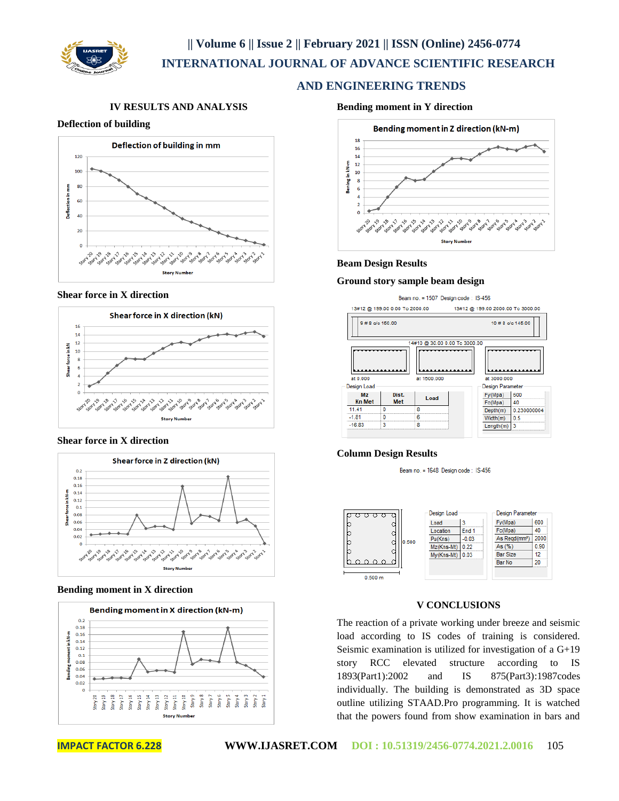

## **|| Volume 6 || Issue 2 || February 2021 || ISSN (Online) 2456-0774 INTERNATIONAL JOURNAL OF ADVANCE SCIENTIFIC RESEARCH**

## **AND ENGINEERING TRENDS**

## **IV RESULTS AND ANALYSIS**

## **Deflection of building**



## **Shear force in X direction**



## **Shear force in X direction**



## **Bending moment in X direction**



#### **Bending moment in Y direction**



#### **Beam Design Results**

#### **Ground story sample beam design**



## **Column Design Results**

Beam no. = 1648 Design code: IS-456



## **V CONCLUSIONS**

The reaction of a private working under breeze and seismic load according to IS codes of training is considered. Seismic examination is utilized for investigation of a G+19 story RCC elevated structure according to IS 1893(Part1):2002 and IS 875(Part3):1987codes individually. The building is demonstrated as 3D space outline utilizing STAAD.Pro programming. It is watched that the powers found from show examination in bars and